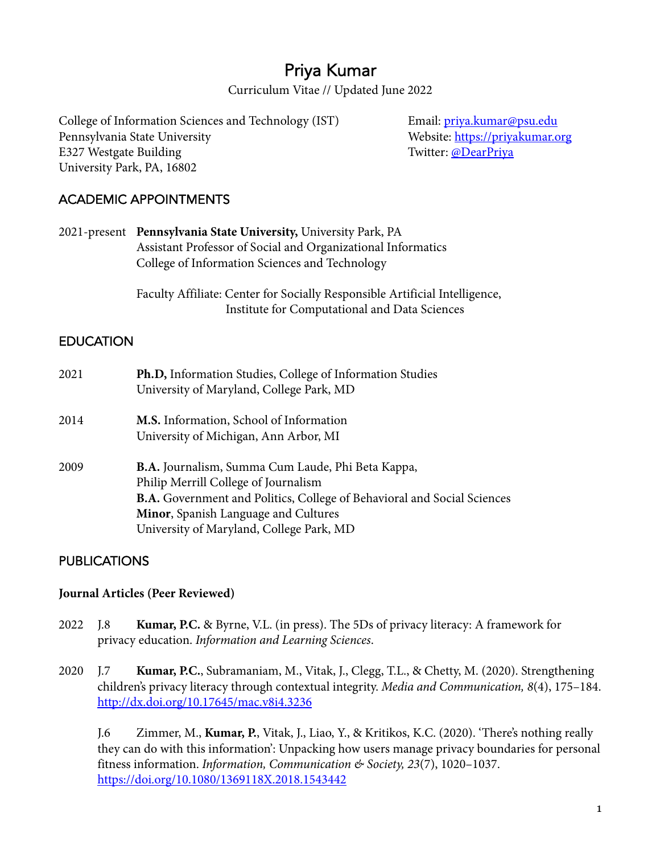# Priya Kumar

Curriculum Vitae // Updated June 2022

College of Information Sciences and Technology (IST) Email: *priya.kumar@psu.edu* Pennsylvania State University Nebsite: https://priyakumar.org E327 Westgate Building Twitter: @DearPriya University Park, PA, 16802

# ACADEMIC APPOINTMENTS

2021-present **Pennsylvania State University,** University Park, PA Assistant Professor of Social and Organizational Informatics College of Information Sciences and Technology

> Faculty Affiliate: Center for Socially Responsible Artificial Intelligence, Institute for Computational and Data Sciences

# **EDUCATION**

| 2021 | Ph.D, Information Studies, College of Information Studies<br>University of Maryland, College Park, MD |
|------|-------------------------------------------------------------------------------------------------------|
| 2014 | M.S. Information, School of Information                                                               |
|      | University of Michigan, Ann Arbor, MI                                                                 |
| 2009 | <b>B.A.</b> Journalism, Summa Cum Laude, Phi Beta Kappa,                                              |
|      | Philip Merrill College of Journalism                                                                  |
|      | B.A. Government and Politics, College of Behavioral and Social Sciences                               |
|      | Minor, Spanish Language and Cultures                                                                  |
|      | University of Maryland, College Park, MD                                                              |

# PUBLICATIONS

#### **Journal Articles (Peer Reviewed)**

- 2022 J.8 **Kumar, P.C.** & Byrne, V.L. (in press). The 5Ds of privacy literacy: A framework for privacy education. *Information and Learning Sciences*.
- 2020 J.7 **Kumar, P.C.**, Subramaniam, M., Vitak, J., Clegg, T.L., & Chetty, M. (2020). Strengthening children's privacy literacy through contextual integrity. *Media and Communication, 8*(4), 175–184. http://dx.doi.org/10.17645/mac.v8i4.3236

J.6 Zimmer, M., **Kumar, P.**, Vitak, J., Liao, Y., & Kritikos, K.C. (2020). 'There's nothing really they can do with this information': Unpacking how users manage privacy boundaries for personal fitness information. *Information, Communication & Society, 23*(7), 1020–1037. https://doi.org/10.1080/1369118X.2018.1543442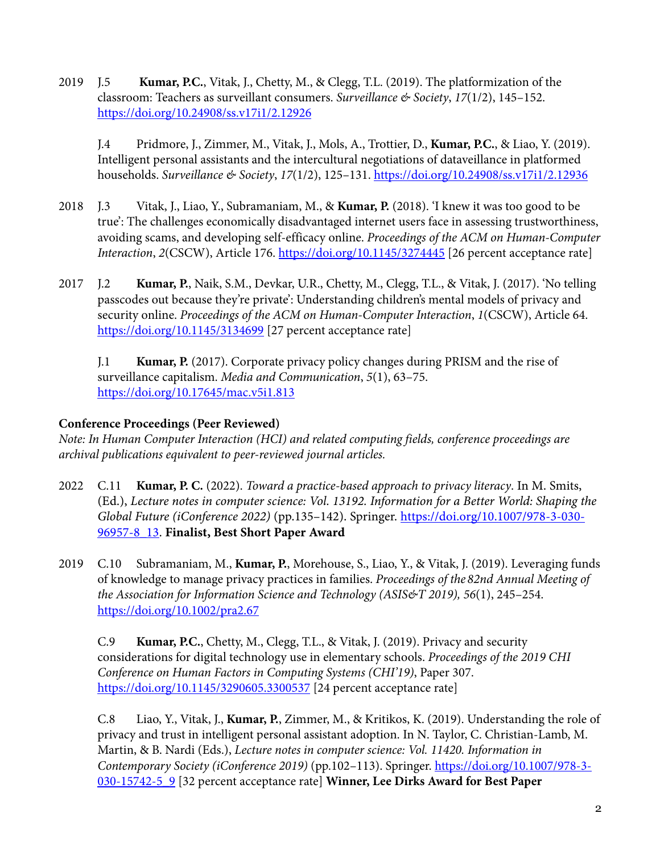2019 J.5 **Kumar, P.C.**, Vitak, J., Chetty, M., & Clegg, T.L. (2019). The platformization of the classroom: Teachers as surveillant consumers. *Surveillance & Society*, *17*(1/2), 145–152. https://doi.org/10.24908/ss.v17i1/2.12926

J.4 Pridmore, J., Zimmer, M., Vitak, J., Mols, A., Trottier, D., **Kumar, P.C.**, & Liao, Y. (2019). Intelligent personal assistants and the intercultural negotiations of dataveillance in platformed households. *Surveillance & Society*, *17*(1/2), 125–131. https://doi.org/10.24908/ss.v17i1/2.12936

- 2018 J.3 Vitak, J., Liao, Y., Subramaniam, M., & **Kumar, P.** (2018). 'I knew it was too good to be true': The challenges economically disadvantaged internet users face in assessing trustworthiness, avoiding scams, and developing self-efficacy online. *Proceedings of the ACM on Human-Computer Interaction*, *2*(CSCW), Article 176. https://doi.org/10.1145/3274445 [26 percent acceptance rate]
- 2017 J.2 **Kumar, P.**, Naik, S.M., Devkar, U.R., Chetty, M., Clegg, T.L., & Vitak, J. (2017). 'No telling passcodes out because they're private': Understanding children's mental models of privacy and security online. *Proceedings of the ACM on Human-Computer Interaction*, *1*(CSCW), Article 64. https://doi.org/10.1145/3134699 [27 percent acceptance rate]

J.1 **Kumar, P.** (2017). Corporate privacy policy changes during PRISM and the rise of surveillance capitalism. *Media and Communication*, *5*(1), 63–75. https://doi.org/10.17645/mac.v5i1.813

# **Conference Proceedings (Peer Reviewed)**

*Note: In Human Computer Interaction (HCI) and related computing fields, conference proceedings are archival publications equivalent to peer-reviewed journal articles.*

- 2022 C.11 **Kumar, P. C.** (2022). *Toward a practice-based approach to privacy literacy*. In M. Smits, (Ed.), *Lecture notes in computer science: Vol. 13192. Information for a Better World: Shaping the Global Future (iConference 2022)* (pp.135–142). Springer. https://doi.org/10.1007/978-3-030- 96957-8\_13. **Finalist, Best Short Paper Award**
- 2019 C.10 Subramaniam, M., **Kumar, P.**, Morehouse, S., Liao, Y., & Vitak, J. (2019). Leveraging funds of knowledge to manage privacy practices in families. *Proceedings of the 82nd Annual Meeting of the Association for Information Science and Technology (ASIS&T 2019), 56*(1), 245–254. https://doi.org/10.1002/pra2.67

C.9 **Kumar, P.C.**, Chetty, M., Clegg, T.L., & Vitak, J. (2019). Privacy and security considerations for digital technology use in elementary schools. *Proceedings of the 2019 CHI Conference on Human Factors in Computing Systems (CHI'19)*, Paper 307. https://doi.org/10.1145/3290605.3300537 [24 percent acceptance rate]

C.8 Liao, Y., Vitak, J., **Kumar, P.**, Zimmer, M., & Kritikos, K. (2019). Understanding the role of privacy and trust in intelligent personal assistant adoption. In N. Taylor, C. Christian-Lamb, M. Martin, & B. Nardi (Eds.), *Lecture notes in computer science: Vol. 11420. Information in Contemporary Society (iConference 2019)* (pp.102–113). Springer. https://doi.org/10.1007/978-3- 030-15742-5\_9 [32 percent acceptance rate] **Winner, Lee Dirks Award for Best Paper**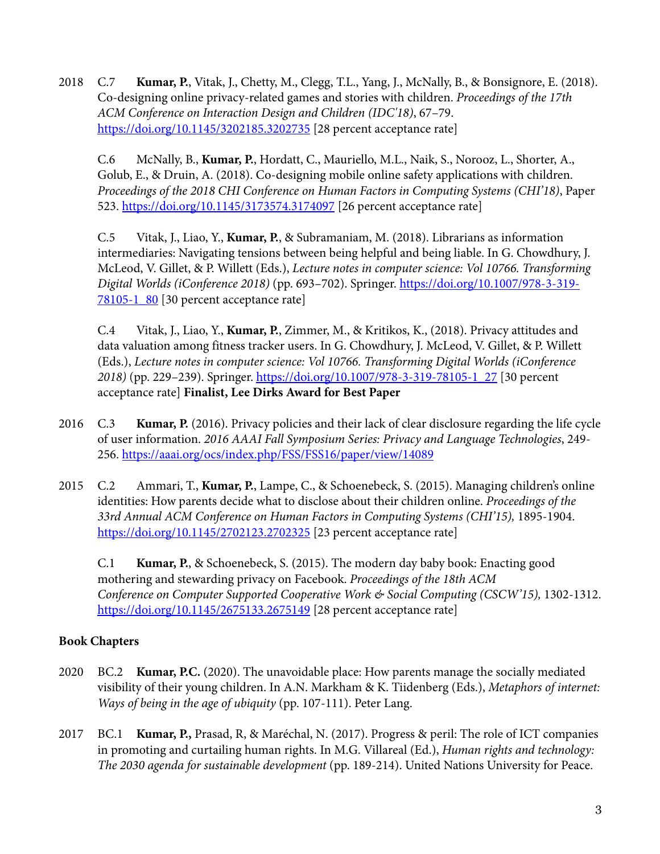2018 C.7 **Kumar, P.**, Vitak, J., Chetty, M., Clegg, T.L., Yang, J., McNally, B., & Bonsignore, E. (2018). Co-designing online privacy-related games and stories with children. *Proceedings of the 17th ACM Conference on Interaction Design and Children (IDC'18)*, 67–79. https://doi.org/10.1145/3202185.3202735 [28 percent acceptance rate]

C.6 McNally, B., **Kumar, P.**, Hordatt, C., Mauriello, M.L., Naik, S., Norooz, L., Shorter, A., Golub, E., & Druin, A. (2018). Co-designing mobile online safety applications with children. *Proceedings of the 2018 CHI Conference on Human Factors in Computing Systems (CHI'18)*, Paper 523. https://doi.org/10.1145/3173574.3174097 [26 percent acceptance rate]

C.5 Vitak, J., Liao, Y., **Kumar, P.**, & Subramaniam, M. (2018). Librarians as information intermediaries: Navigating tensions between being helpful and being liable. In G. Chowdhury, J. McLeod, V. Gillet, & P. Willett (Eds.), *Lecture notes in computer science: Vol 10766. Transforming Digital Worlds (iConference 2018)* (pp. 693–702). Springer. https://doi.org/10.1007/978-3-319- 78105-1\_80 [30 percent acceptance rate]

C.4 Vitak, J., Liao, Y., **Kumar, P.**, Zimmer, M., & Kritikos, K., (2018). Privacy attitudes and data valuation among fitness tracker users. In G. Chowdhury, J. McLeod, V. Gillet, & P. Willett (Eds.), *Lecture notes in computer science: Vol 10766. Transforming Digital Worlds (iConference 2018)* (pp. 229–239). Springer. https://doi.org/10.1007/978-3-319-78105-1\_27 [30 percent acceptance rate] **Finalist, Lee Dirks Award for Best Paper**

- 2016 C.3 **Kumar, P.** (2016). Privacy policies and their lack of clear disclosure regarding the life cycle of user information. *2016 AAAI Fall Symposium Series: Privacy and Language Technologies*, 249- 256. https://aaai.org/ocs/index.php/FSS/FSS16/paper/view/14089
- 2015 C.2 Ammari, T., **Kumar, P.**, Lampe, C., & Schoenebeck, S. (2015). Managing children's online identities: How parents decide what to disclose about their children online. *Proceedings of the 33rd Annual ACM Conference on Human Factors in Computing Systems (CHI'15),* 1895-1904. https://doi.org/10.1145/2702123.2702325 [23 percent acceptance rate]

C.1 **Kumar, P.**, & Schoenebeck, S. (2015). The modern day baby book: Enacting good mothering and stewarding privacy on Facebook. *Proceedings of the 18th ACM Conference on Computer Supported Cooperative Work & Social Computing (CSCW'15),* 1302-1312. https://doi.org/10.1145/2675133.2675149 [28 percent acceptance rate]

# **Book Chapters**

- 2020 BC.2 **Kumar, P.C.** (2020). The unavoidable place: How parents manage the socially mediated visibility of their young children. In A.N. Markham & K. Tiidenberg (Eds.), *Metaphors of internet: Ways of being in the age of ubiquity* (pp. 107-111). Peter Lang.
- 2017 BC.1 **Kumar, P.,** Prasad, R, & Maréchal, N. (2017). Progress & peril: The role of ICT companies in promoting and curtailing human rights. In M.G. Villareal (Ed.), *Human rights and technology: The 2030 agenda for sustainable development* (pp. 189-214). United Nations University for Peace.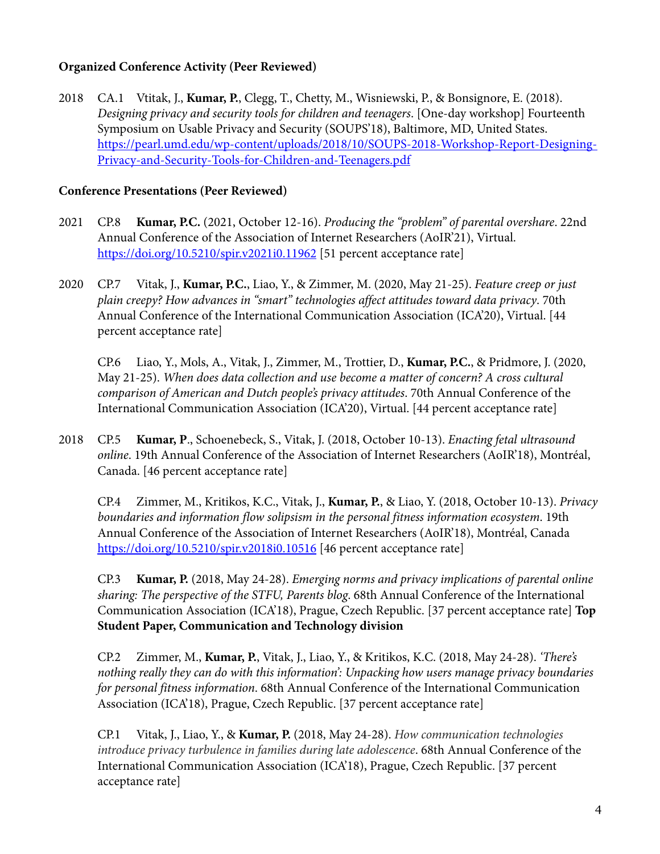### **Organized Conference Activity (Peer Reviewed)**

2018 CA.1 Vtitak, J., **Kumar, P.**, Clegg, T., Chetty, M., Wisniewski, P., & Bonsignore, E. (2018). *Designing privacy and security tools for children and teenagers*. [One-day workshop] Fourteenth Symposium on Usable Privacy and Security (SOUPS'18), Baltimore, MD, United States. https://pearl.umd.edu/wp-content/uploads/2018/10/SOUPS-2018-Workshop-Report-Designing-Privacy-and-Security-Tools-for-Children-and-Teenagers.pdf

### **Conference Presentations (Peer Reviewed)**

- 2021 CP.8 **Kumar, P.C.** (2021, October 12-16). *Producing the "problem" of parental overshare*. 22nd Annual Conference of the Association of Internet Researchers (AoIR'21), Virtual. https://doi.org/10.5210/spir.v2021i0.11962 [51 percent acceptance rate]
- 2020 CP.7 Vitak, J., **Kumar, P.C.**, Liao, Y., & Zimmer, M. (2020, May 21-25). *Feature creep or just plain creepy? How advances in "smart" technologies affect attitudes toward data privacy*. 70th Annual Conference of the International Communication Association (ICA'20), Virtual. [44 percent acceptance rate]

CP.6 Liao, Y., Mols, A., Vitak, J., Zimmer, M., Trottier, D., **Kumar, P.C.**, & Pridmore, J. (2020, May 21-25). *When does data collection and use become a matter of concern? A cross cultural comparison of American and Dutch people's privacy attitudes*. 70th Annual Conference of the International Communication Association (ICA'20), Virtual. [44 percent acceptance rate]

2018 CP.5 **Kumar, P**., Schoenebeck, S., Vitak, J. (2018, October 10-13). *Enacting fetal ultrasound online*. 19th Annual Conference of the Association of Internet Researchers (AoIR'18), Montréal, Canada. [46 percent acceptance rate]

CP.4 Zimmer, M., Kritikos, K.C., Vitak, J., **Kumar, P.**, & Liao, Y. (2018, October 10-13). *Privacy boundaries and information flow solipsism in the personal fitness information ecosystem*. 19th Annual Conference of the Association of Internet Researchers (AoIR'18), Montréal, Canada https://doi.org/10.5210/spir.v2018i0.10516 [46 percent acceptance rate]

CP.3 **Kumar, P.** (2018, May 24-28). *Emerging norms and privacy implications of parental online sharing: The perspective of the STFU, Parents blog*. 68th Annual Conference of the International Communication Association (ICA'18), Prague, Czech Republic. [37 percent acceptance rate] **Top Student Paper, Communication and Technology division**

CP.2 Zimmer, M., **Kumar, P.**, Vitak, J., Liao, Y., & Kritikos, K.C. (2018, May 24-28). *'There's nothing really they can do with this information': Unpacking how users manage privacy boundaries for personal fitness information*. 68th Annual Conference of the International Communication Association (ICA'18), Prague, Czech Republic. [37 percent acceptance rate]

CP.1 Vitak, J., Liao, Y., & **Kumar, P.** (2018, May 24-28). *How communication technologies introduce privacy turbulence in families during late adolescence*. 68th Annual Conference of the International Communication Association (ICA'18), Prague, Czech Republic. [37 percent acceptance rate]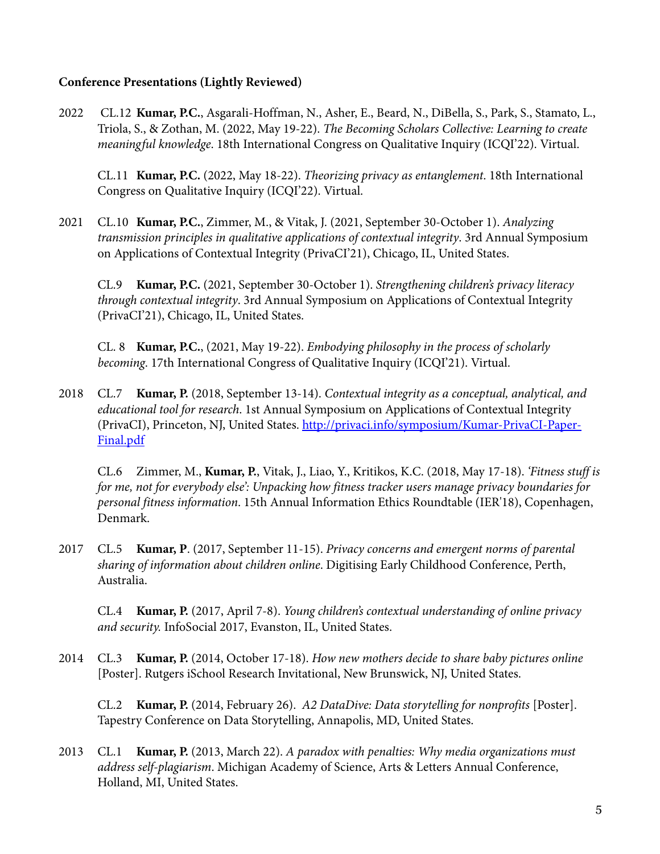#### **Conference Presentations (Lightly Reviewed)**

2022 CL.12 **Kumar, P.C.**, Asgarali-Hoffman, N., Asher, E., Beard, N., DiBella, S., Park, S., Stamato, L., Triola, S., & Zothan, M. (2022, May 19-22). *The Becoming Scholars Collective: Learning to create meaningful knowledge*. 18th International Congress on Qualitative Inquiry (ICQI'22). Virtual.

CL.11 **Kumar, P.C.** (2022, May 18-22). *Theorizing privacy as entanglement*. 18th International Congress on Qualitative Inquiry (ICQI'22). Virtual.

2021 CL.10 **Kumar, P.C.**, Zimmer, M., & Vitak, J. (2021, September 30-October 1). *Analyzing transmission principles in qualitative applications of contextual integrity*. 3rd Annual Symposium on Applications of Contextual Integrity (PrivaCI'21), Chicago, IL, United States.

CL.9 **Kumar, P.C.** (2021, September 30-October 1). *Strengthening children's privacy literacy through contextual integrity*. 3rd Annual Symposium on Applications of Contextual Integrity (PrivaCI'21), Chicago, IL, United States.

CL. 8 **Kumar, P.C.**, (2021, May 19-22). *Embodying philosophy in the process of scholarly becoming*. 17th International Congress of Qualitative Inquiry (ICQI'21). Virtual.

2018 CL.7 **Kumar, P.** (2018, September 13-14). *Contextual integrity as a conceptual, analytical, and educational tool for research*. 1st Annual Symposium on Applications of Contextual Integrity (PrivaCI), Princeton, NJ, United States. http://privaci.info/symposium/Kumar-PrivaCI-Paper-Final.pdf

CL.6 Zimmer, M., **Kumar, P.**, Vitak, J., Liao, Y., Kritikos, K.C. (2018, May 17-18). *'Fitness stuff is for me, not for everybody else': Unpacking how fitness tracker users manage privacy boundaries for personal fitness information*. 15th Annual Information Ethics Roundtable (IER'18), Copenhagen, Denmark.

2017 CL.5 **Kumar, P**. (2017, September 11-15). *Privacy concerns and emergent norms of parental sharing of information about children online*. Digitising Early Childhood Conference, Perth, Australia.

CL.4 **Kumar, P.** (2017, April 7-8). *Young children's contextual understanding of online privacy and security.* InfoSocial 2017, Evanston, IL, United States.

2014 CL.3 **Kumar, P.** (2014, October 17-18). *How new mothers decide to share baby pictures online* [Poster]. Rutgers iSchool Research Invitational, New Brunswick, NJ, United States.

CL.2 **Kumar, P.** (2014, February 26). *A2 DataDive: Data storytelling for nonprofits* [Poster]. Tapestry Conference on Data Storytelling, Annapolis, MD, United States.

2013 CL.1 **Kumar, P.** (2013, March 22). *A paradox with penalties: Why media organizations must address self-plagiarism*. Michigan Academy of Science, Arts & Letters Annual Conference, Holland, MI, United States.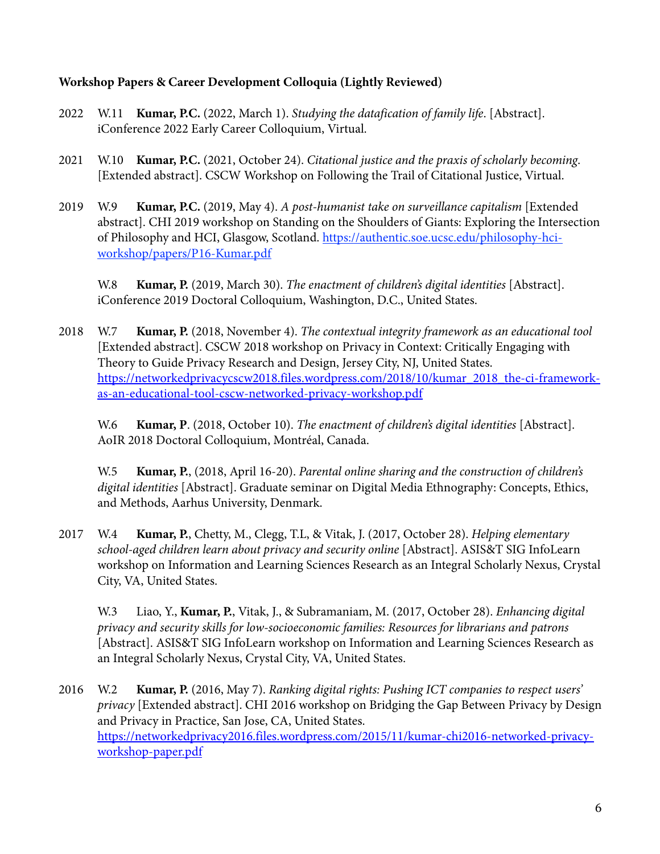### **Workshop Papers & Career Development Colloquia (Lightly Reviewed)**

- 2022 W.11 **Kumar, P.C.** (2022, March 1). *Studying the datafication of family life*. [Abstract]. iConference 2022 Early Career Colloquium, Virtual.
- 2021 W.10 **Kumar, P.C.** (2021, October 24). *Citational justice and the praxis of scholarly becoming*. [Extended abstract]. CSCW Workshop on Following the Trail of Citational Justice, Virtual.
- 2019 W.9 **Kumar, P.C.** (2019, May 4). *A post-humanist take on surveillance capitalism* [Extended abstract]. CHI 2019 workshop on Standing on the Shoulders of Giants: Exploring the Intersection of Philosophy and HCI, Glasgow, Scotland. https://authentic.soe.ucsc.edu/philosophy-hciworkshop/papers/P16-Kumar.pdf

W.8 **Kumar, P.** (2019, March 30). *The enactment of children's digital identities* [Abstract]. iConference 2019 Doctoral Colloquium, Washington, D.C., United States.

2018 W.7 **Kumar, P.** (2018, November 4). *The contextual integrity framework as an educational tool* [Extended abstract]. CSCW 2018 workshop on Privacy in Context: Critically Engaging with Theory to Guide Privacy Research and Design, Jersey City, NJ, United States. https://networkedprivacycscw2018.files.wordpress.com/2018/10/kumar\_2018\_the-ci-frameworkas-an-educational-tool-cscw-networked-privacy-workshop.pdf

W.6 **Kumar, P**. (2018, October 10). *The enactment of children's digital identities* [Abstract]. AoIR 2018 Doctoral Colloquium, Montréal, Canada.

W.5 **Kumar, P.**, (2018, April 16-20). *Parental online sharing and the construction of children's digital identities* [Abstract]. Graduate seminar on Digital Media Ethnography: Concepts, Ethics, and Methods, Aarhus University, Denmark.

2017 W.4 **Kumar, P.**, Chetty, M., Clegg, T.L, & Vitak, J. (2017, October 28). *Helping elementary school-aged children learn about privacy and security online* [Abstract]. ASIS&T SIG InfoLearn workshop on Information and Learning Sciences Research as an Integral Scholarly Nexus, Crystal City, VA, United States.

W.3 Liao, Y., **Kumar, P.**, Vitak, J., & Subramaniam, M. (2017, October 28). *Enhancing digital privacy and security skills for low-socioeconomic families: Resources for librarians and patrons* [Abstract]. ASIS&T SIG InfoLearn workshop on Information and Learning Sciences Research as an Integral Scholarly Nexus, Crystal City, VA, United States.

2016 W.2 **Kumar, P.** (2016, May 7). *Ranking digital rights: Pushing ICT companies to respect users' privacy* [Extended abstract]. CHI 2016 workshop on Bridging the Gap Between Privacy by Design and Privacy in Practice, San Jose, CA, United States. https://networkedprivacy2016.files.wordpress.com/2015/11/kumar-chi2016-networked-privacyworkshop-paper.pdf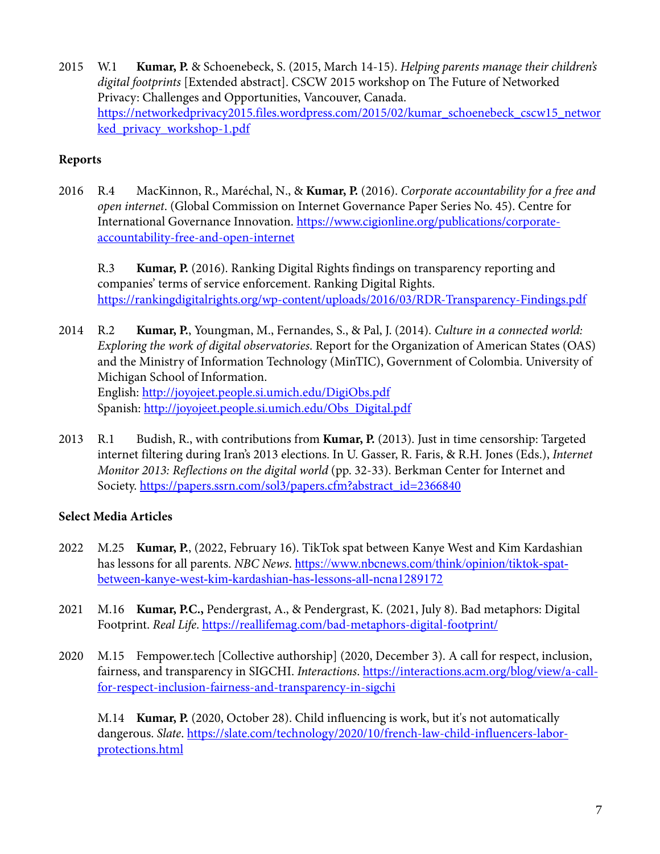2015 W.1 **Kumar, P.** & Schoenebeck, S. (2015, March 14-15). *Helping parents manage their children's digital footprints* [Extended abstract]. CSCW 2015 workshop on The Future of Networked Privacy: Challenges and Opportunities, Vancouver, Canada. https://networkedprivacy2015.files.wordpress.com/2015/02/kumar\_schoenebeck\_cscw15\_networ ked\_privacy\_workshop-1.pdf

# **Reports**

2016 R.4 MacKinnon, R., Maréchal, N., & **Kumar, P.** (2016). *Corporate accountability for a free and open internet*. (Global Commission on Internet Governance Paper Series No. 45). Centre for International Governance Innovation. https://www.cigionline.org/publications/corporateaccountability-free-and-open-internet

R.3 **Kumar, P.** (2016). Ranking Digital Rights findings on transparency reporting and companies' terms of service enforcement. Ranking Digital Rights. https://rankingdigitalrights.org/wp-content/uploads/2016/03/RDR-Transparency-Findings.pdf

- 2014 R.2 **Kumar, P.**, Youngman, M., Fernandes, S., & Pal, J. (2014). *Culture in a connected world: Exploring the work of digital observatories*. Report for the Organization of American States (OAS) and the Ministry of Information Technology (MinTIC), Government of Colombia. University of Michigan School of Information. English: http://joyojeet.people.si.umich.edu/DigiObs.pdf Spanish: http://joyojeet.people.si.umich.edu/Obs\_Digital.pdf
- 2013 R.1 Budish, R., with contributions from **Kumar, P.** (2013). Just in time censorship: Targeted internet filtering during Iran's 2013 elections. In U. Gasser, R. Faris, & R.H. Jones (Eds.), *Internet Monitor 2013: Reflections on the digital world* (pp. 32-33). Berkman Center for Internet and Society. https://papers.ssrn.com/sol3/papers.cfm?abstract\_id=2366840

# **Select Media Articles**

- 2022 M.25 **Kumar, P.**, (2022, February 16). TikTok spat between Kanye West and Kim Kardashian has lessons for all parents. *NBC News*. https://www.nbcnews.com/think/opinion/tiktok-spatbetween-kanye-west-kim-kardashian-has-lessons-all-ncna1289172
- 2021 M.16 **Kumar, P.C.,** Pendergrast, A., & Pendergrast, K. (2021, July 8). Bad metaphors: Digital Footprint. *Real Life*. https://reallifemag.com/bad-metaphors-digital-footprint/
- 2020 M.15 Fempower.tech [Collective authorship] (2020, December 3). A call for respect, inclusion, fairness, and transparency in SIGCHI. *Interactions*. https://interactions.acm.org/blog/view/a-callfor-respect-inclusion-fairness-and-transparency-in-sigchi

M.14 **Kumar, P.** (2020, October 28). Child influencing is work, but it's not automatically dangerous. *Slate*. https://slate.com/technology/2020/10/french-law-child-influencers-laborprotections.html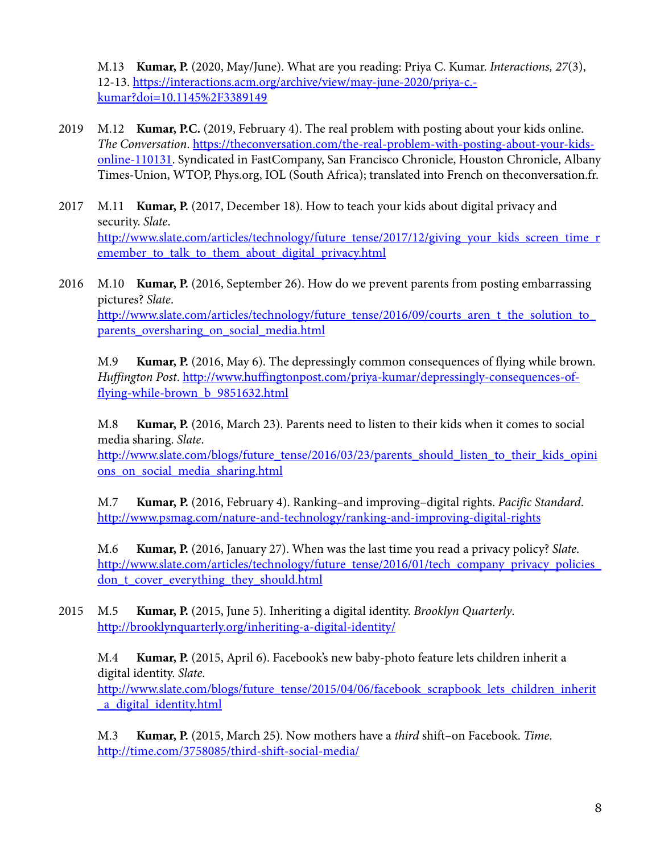M.13 **Kumar, P.** (2020, May/June). What are you reading: Priya C. Kumar. *Interactions, 27*(3), 12-13. https://interactions.acm.org/archive/view/may-june-2020/priya-c. kumar?doi=10.1145%2F3389149

- 2019 M.12 **Kumar, P.C.** (2019, February 4). The real problem with posting about your kids online. *The Conversation*. https://theconversation.com/the-real-problem-with-posting-about-your-kidsonline-110131. Syndicated in FastCompany, San Francisco Chronicle, Houston Chronicle, Albany Times-Union, WTOP, Phys.org, IOL (South Africa); translated into French on theconversation.fr.
- 2017 M.11 **Kumar, P.** (2017, December 18). How to teach your kids about digital privacy and security. *Slate*. http://www.slate.com/articles/technology/future\_tense/2017/12/giving\_your\_kids\_screen\_time\_r emember\_to\_talk\_to\_them\_about\_digital\_privacy.html
- 2016 M.10 **Kumar, P.** (2016, September 26). How do we prevent parents from posting embarrassing pictures? *Slate*. http://www.slate.com/articles/technology/future\_tense/2016/09/courts\_aren\_t\_the\_solution\_to\_ parents\_oversharing\_on\_social\_media.html

M.9 **Kumar, P.** (2016, May 6). The depressingly common consequences of flying while brown. *Huffington Post*. http://www.huffingtonpost.com/priya-kumar/depressingly-consequences-offlying-while-brown\_b\_9851632.html

M.8 **Kumar, P.** (2016, March 23). Parents need to listen to their kids when it comes to social media sharing. *Slate*.

http://www.slate.com/blogs/future\_tense/2016/03/23/parents\_should\_listen\_to\_their\_kids\_opini ons\_on\_social\_media\_sharing.html

M.7 **Kumar, P.** (2016, February 4). Ranking–and improving–digital rights. *Pacific Standard*. http://www.psmag.com/nature-and-technology/ranking-and-improving-digital-rights

M.6 **Kumar, P.** (2016, January 27). When was the last time you read a privacy policy? *Slate*. http://www.slate.com/articles/technology/future\_tense/2016/01/tech\_company\_privacy\_policies don t cover everything they should.html

2015 M.5 **Kumar, P.** (2015, June 5). Inheriting a digital identity. *Brooklyn Quarterly*. http://brooklynquarterly.org/inheriting-a-digital-identity/

M.4 **Kumar, P.** (2015, April 6). Facebook's new baby-photo feature lets children inherit a digital identity. *Slate*. http://www.slate.com/blogs/future\_tense/2015/04/06/facebook\_scrapbook\_lets\_children\_inherit \_a\_digital\_identity.html

M.3 **Kumar, P.** (2015, March 25). Now mothers have a *third* shift–on Facebook. *Time*. http://time.com/3758085/third-shift-social-media/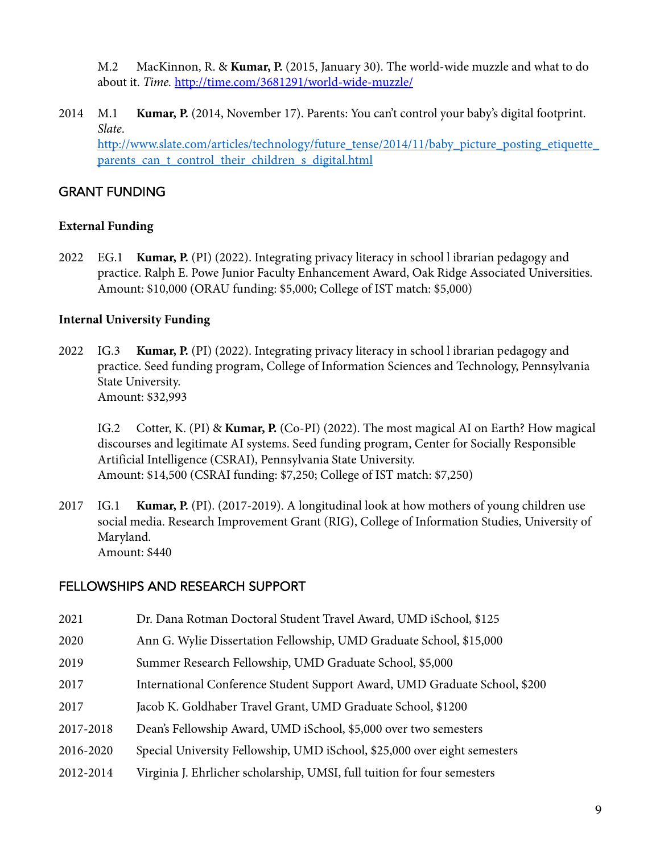M.2 MacKinnon, R. & **Kumar, P.** (2015, January 30). The world-wide muzzle and what to do about it. *Time.* http://time.com/3681291/world-wide-muzzle/

2014 M.1 **Kumar, P.** (2014, November 17). Parents: You can't control your baby's digital footprint. *Slate*. http://www.slate.com/articles/technology/future\_tense/2014/11/baby\_picture\_posting\_etiquette\_ parents can t control their children s digital.html

# GRANT FUNDING

### **External Funding**

2022 EG.1 **Kumar, P.** (PI) (2022). Integrating privacy literacy in school l ibrarian pedagogy and practice. Ralph E. Powe Junior Faculty Enhancement Award, Oak Ridge Associated Universities. Amount: \$10,000 (ORAU funding: \$5,000; College of IST match: \$5,000)

### **Internal University Funding**

2022 IG.3 **Kumar, P.** (PI) (2022). Integrating privacy literacy in school l ibrarian pedagogy and practice. Seed funding program, College of Information Sciences and Technology, Pennsylvania State University. Amount: \$32,993

IG.2 Cotter, K. (PI) & **Kumar, P.** (Co-PI) (2022). The most magical AI on Earth? How magical discourses and legitimate AI systems. Seed funding program, Center for Socially Responsible Artificial Intelligence (CSRAI), Pennsylvania State University. Amount: \$14,500 (CSRAI funding: \$7,250; College of IST match: \$7,250)

2017 IG.1 **Kumar, P.** (PI). (2017-2019). A longitudinal look at how mothers of young children use social media. Research Improvement Grant (RIG), College of Information Studies, University of Maryland. Amount: \$440

# FELLOWSHIPS AND RESEARCH SUPPORT

- 2021 Dr. Dana Rotman Doctoral Student Travel Award, UMD iSchool, \$125
- 2020 Ann G. Wylie Dissertation Fellowship, UMD Graduate School, \$15,000
- 2019 Summer Research Fellowship, UMD Graduate School, \$5,000
- 2017 International Conference Student Support Award, UMD Graduate School, \$200
- 2017 Jacob K. Goldhaber Travel Grant, UMD Graduate School, \$1200
- 2017-2018 Dean's Fellowship Award, UMD iSchool, \$5,000 over two semesters
- 2016-2020 Special University Fellowship, UMD iSchool, \$25,000 over eight semesters
- 2012-2014 Virginia J. Ehrlicher scholarship, UMSI, full tuition for four semesters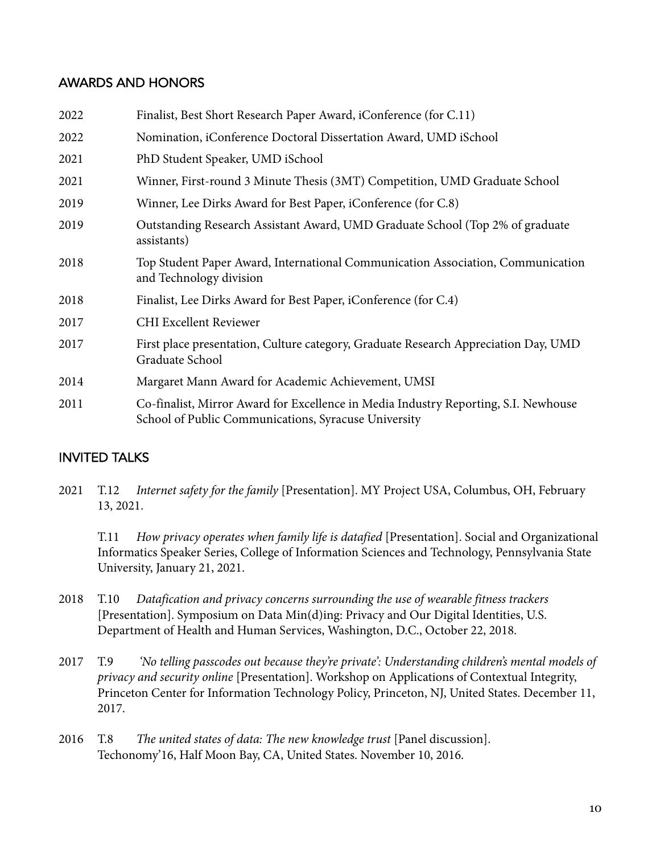# AWARDS AND HONORS

| 2022 | Finalist, Best Short Research Paper Award, iConference (for C.11)                                                                           |
|------|---------------------------------------------------------------------------------------------------------------------------------------------|
| 2022 | Nomination, iConference Doctoral Dissertation Award, UMD iSchool                                                                            |
| 2021 | PhD Student Speaker, UMD iSchool                                                                                                            |
| 2021 | Winner, First-round 3 Minute Thesis (3MT) Competition, UMD Graduate School                                                                  |
| 2019 | Winner, Lee Dirks Award for Best Paper, iConference (for C.8)                                                                               |
| 2019 | Outstanding Research Assistant Award, UMD Graduate School (Top 2% of graduate<br>assistants)                                                |
| 2018 | Top Student Paper Award, International Communication Association, Communication<br>and Technology division                                  |
| 2018 | Finalist, Lee Dirks Award for Best Paper, iConference (for C.4)                                                                             |
| 2017 | <b>CHI Excellent Reviewer</b>                                                                                                               |
| 2017 | First place presentation, Culture category, Graduate Research Appreciation Day, UMD<br>Graduate School                                      |
| 2014 | Margaret Mann Award for Academic Achievement, UMSI                                                                                          |
| 2011 | Co-finalist, Mirror Award for Excellence in Media Industry Reporting, S.I. Newhouse<br>School of Public Communications, Syracuse University |
|      |                                                                                                                                             |

# INVITED TALKS

2021 T.12 *Internet safety for the family* [Presentation]. MY Project USA, Columbus, OH, February 13, 2021.

T.11 *How privacy operates when family life is datafied* [Presentation]. Social and Organizational Informatics Speaker Series, College of Information Sciences and Technology, Pennsylvania State University, January 21, 2021.

- 2018 T.10 *Datafication and privacy concerns surrounding the use of wearable fitness trackers* [Presentation]. Symposium on Data Min(d)ing: Privacy and Our Digital Identities, U.S. Department of Health and Human Services, Washington, D.C., October 22, 2018.
- 2017 T.9 *'No telling passcodes out because they're private': Understanding children's mental models of privacy and security online* [Presentation]. Workshop on Applications of Contextual Integrity, Princeton Center for Information Technology Policy, Princeton, NJ, United States. December 11, 2017.
- 2016 T.8 *The united states of data: The new knowledge trust* [Panel discussion]. Techonomy'16, Half Moon Bay, CA, United States. November 10, 2016.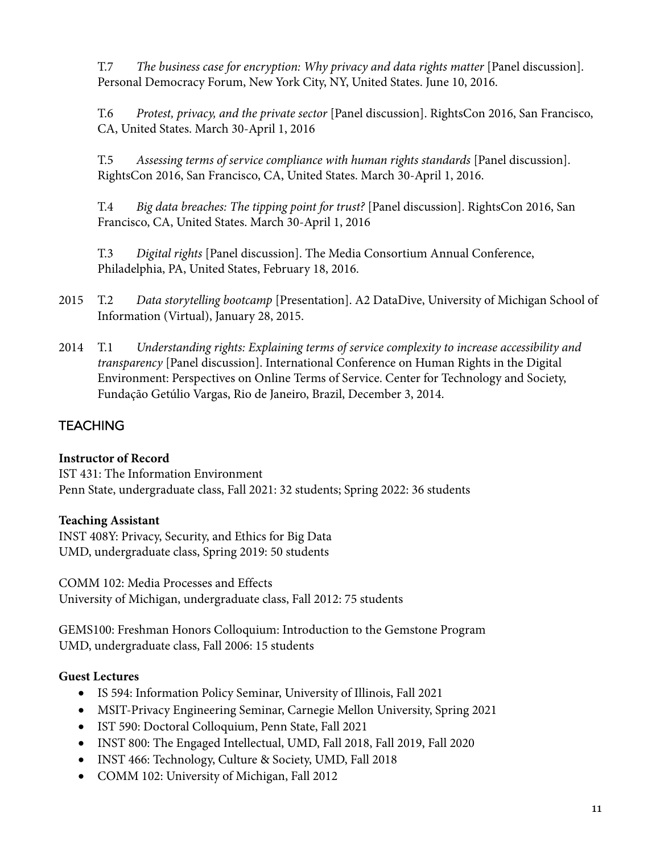T.7 *The business case for encryption: Why privacy and data rights matter* [Panel discussion]. Personal Democracy Forum, New York City, NY, United States. June 10, 2016.

T.6 *Protest, privacy, and the private sector* [Panel discussion]. RightsCon 2016, San Francisco, CA, United States. March 30-April 1, 2016

T.5 *Assessing terms of service compliance with human rights standards* [Panel discussion]. RightsCon 2016, San Francisco, CA, United States. March 30-April 1, 2016.

T.4 *Big data breaches: The tipping point for trust?* [Panel discussion]. RightsCon 2016, San Francisco, CA, United States. March 30-April 1, 2016

T.3 *Digital rights* [Panel discussion]. The Media Consortium Annual Conference, Philadelphia, PA, United States, February 18, 2016.

- 2015 T.2 *Data storytelling bootcamp* [Presentation]. A2 DataDive, University of Michigan School of Information (Virtual), January 28, 2015.
- 2014 T.1 *Understanding rights: Explaining terms of service complexity to increase accessibility and transparency* [Panel discussion]. International Conference on Human Rights in the Digital Environment: Perspectives on Online Terms of Service. Center for Technology and Society, Fundação Getúlio Vargas, Rio de Janeiro, Brazil, December 3, 2014.

# **TEACHING**

# **Instructor of Record**

IST 431: The Information Environment Penn State, undergraduate class, Fall 2021: 32 students; Spring 2022: 36 students

# **Teaching Assistant**

INST 408Y: Privacy, Security, and Ethics for Big Data UMD, undergraduate class, Spring 2019: 50 students

COMM 102: Media Processes and Effects University of Michigan, undergraduate class, Fall 2012: 75 students

GEMS100: Freshman Honors Colloquium: Introduction to the Gemstone Program UMD, undergraduate class, Fall 2006: 15 students

# **Guest Lectures**

- IS 594: Information Policy Seminar, University of Illinois, Fall 2021
- MSIT-Privacy Engineering Seminar, Carnegie Mellon University, Spring 2021
- IST 590: Doctoral Colloquium, Penn State, Fall 2021
- INST 800: The Engaged Intellectual, UMD, Fall 2018, Fall 2019, Fall 2020
- INST 466: Technology, Culture & Society, UMD, Fall 2018
- COMM 102: University of Michigan, Fall 2012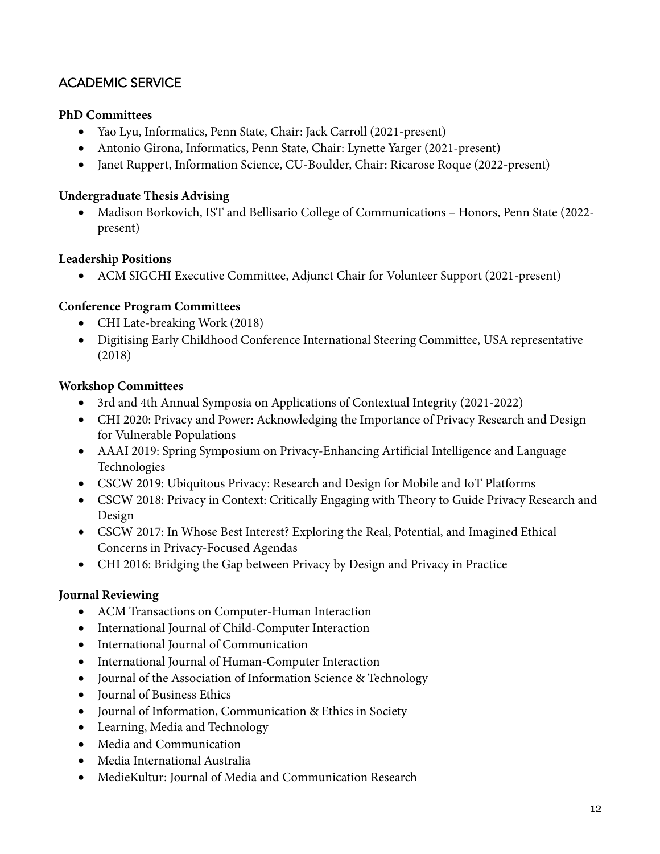# ACADEMIC SERVICE

### **PhD Committees**

- Yao Lyu, Informatics, Penn State, Chair: Jack Carroll (2021-present)
- Antonio Girona, Informatics, Penn State, Chair: Lynette Yarger (2021-present)
- Janet Ruppert, Information Science, CU-Boulder, Chair: Ricarose Roque (2022-present)

#### **Undergraduate Thesis Advising**

• Madison Borkovich, IST and Bellisario College of Communications – Honors, Penn State (2022 present)

#### **Leadership Positions**

• ACM SIGCHI Executive Committee, Adjunct Chair for Volunteer Support (2021-present)

### **Conference Program Committees**

- CHI Late-breaking Work (2018)
- Digitising Early Childhood Conference International Steering Committee, USA representative (2018)

#### **Workshop Committees**

- 3rd and 4th Annual Symposia on Applications of Contextual Integrity (2021-2022)
- CHI 2020: Privacy and Power: Acknowledging the Importance of Privacy Research and Design for Vulnerable Populations
- AAAI 2019: Spring Symposium on Privacy-Enhancing Artificial Intelligence and Language Technologies
- CSCW 2019: Ubiquitous Privacy: Research and Design for Mobile and IoT Platforms
- CSCW 2018: Privacy in Context: Critically Engaging with Theory to Guide Privacy Research and Design
- CSCW 2017: In Whose Best Interest? Exploring the Real, Potential, and Imagined Ethical Concerns in Privacy-Focused Agendas
- CHI 2016: Bridging the Gap between Privacy by Design and Privacy in Practice

#### **Journal Reviewing**

- ACM Transactions on Computer-Human Interaction
- International Journal of Child-Computer Interaction
- International Journal of Communication
- International Journal of Human-Computer Interaction
- Journal of the Association of Information Science & Technology
- Journal of Business Ethics
- Journal of Information, Communication & Ethics in Society
- Learning, Media and Technology
- Media and Communication
- Media International Australia
- MedieKultur: Journal of Media and Communication Research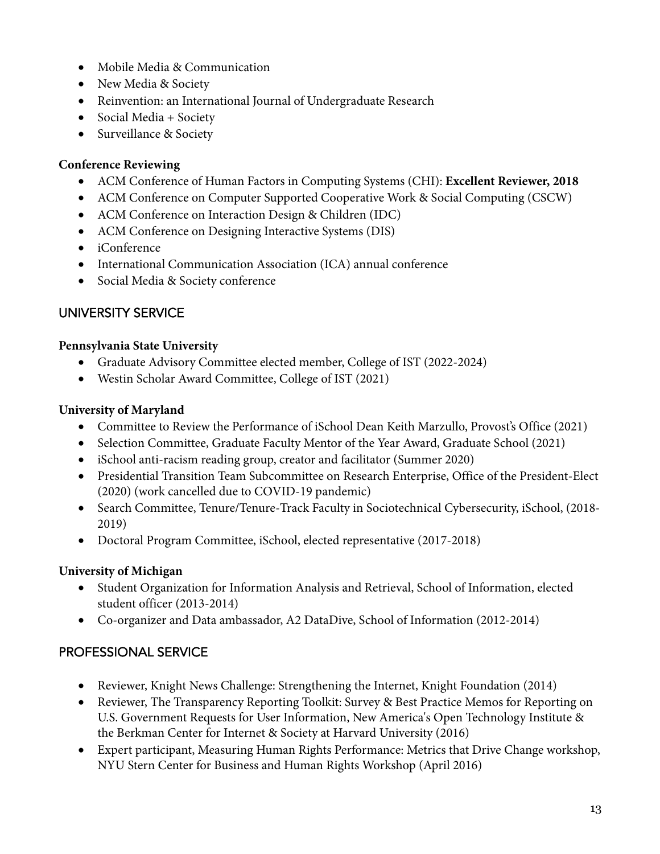- Mobile Media & Communication
- New Media & Society
- Reinvention: an International Journal of Undergraduate Research
- Social Media + Society
- Surveillance & Society

### **Conference Reviewing**

- ACM Conference of Human Factors in Computing Systems (CHI): **Excellent Reviewer, 2018**
- ACM Conference on Computer Supported Cooperative Work & Social Computing (CSCW)
- ACM Conference on Interaction Design & Children (IDC)
- ACM Conference on Designing Interactive Systems (DIS)
- iConference
- International Communication Association (ICA) annual conference
- Social Media & Society conference

# UNIVERSITY SERVICE

#### **Pennsylvania State University**

- Graduate Advisory Committee elected member, College of IST (2022-2024)
- Westin Scholar Award Committee, College of IST (2021)

#### **University of Maryland**

- Committee to Review the Performance of iSchool Dean Keith Marzullo, Provost's Office (2021)
- Selection Committee, Graduate Faculty Mentor of the Year Award, Graduate School (2021)
- iSchool anti-racism reading group, creator and facilitator (Summer 2020)
- Presidential Transition Team Subcommittee on Research Enterprise, Office of the President-Elect (2020) (work cancelled due to COVID-19 pandemic)
- Search Committee, Tenure/Tenure-Track Faculty in Sociotechnical Cybersecurity, iSchool, (2018-2019)
- Doctoral Program Committee, iSchool, elected representative (2017-2018)

# **University of Michigan**

- Student Organization for Information Analysis and Retrieval, School of Information, elected student officer (2013-2014)
- Co-organizer and Data ambassador, A2 DataDive, School of Information (2012-2014)

# PROFESSIONAL SERVICE

- Reviewer, Knight News Challenge: Strengthening the Internet, Knight Foundation (2014)
- Reviewer, The Transparency Reporting Toolkit: Survey & Best Practice Memos for Reporting on U.S. Government Requests for User Information, New America's Open Technology Institute & the Berkman Center for Internet & Society at Harvard University (2016)
- Expert participant, Measuring Human Rights Performance: Metrics that Drive Change workshop, NYU Stern Center for Business and Human Rights Workshop (April 2016)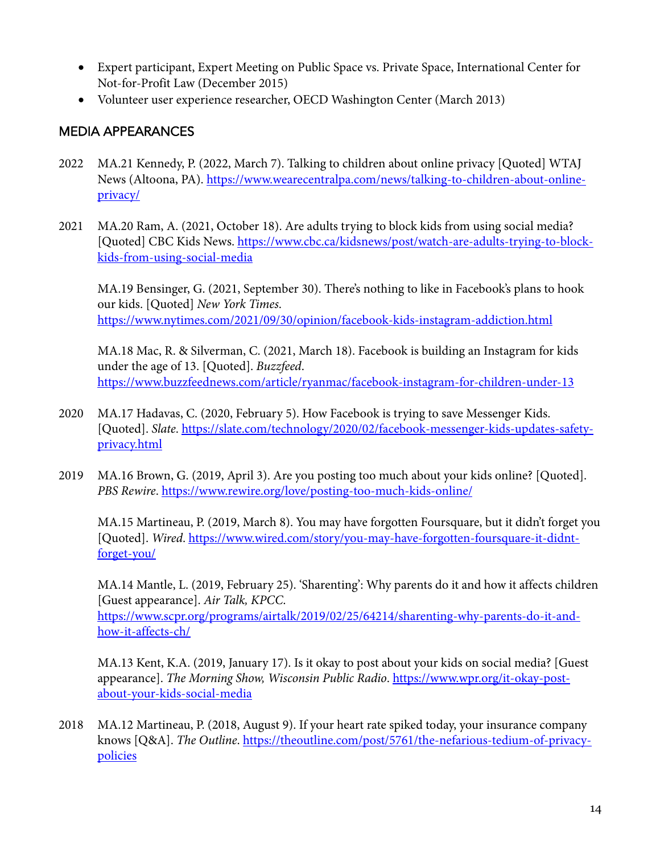- Expert participant, Expert Meeting on Public Space vs. Private Space, International Center for Not-for-Profit Law (December 2015)
- Volunteer user experience researcher, OECD Washington Center (March 2013)

# MEDIA APPEARANCES

- 2022 MA.21 Kennedy, P. (2022, March 7). Talking to children about online privacy [Quoted] WTAJ News (Altoona, PA). https://www.wearecentralpa.com/news/talking-to-children-about-onlineprivacy/
- 2021 MA.20 Ram, A. (2021, October 18). Are adults trying to block kids from using social media? [Quoted] CBC Kids News. https://www.cbc.ca/kidsnews/post/watch-are-adults-trying-to-blockkids-from-using-social-media

MA.19 Bensinger, G. (2021, September 30). There's nothing to like in Facebook's plans to hook our kids. [Quoted] *New York Times*. https://www.nytimes.com/2021/09/30/opinion/facebook-kids-instagram-addiction.html

MA.18 Mac, R. & Silverman, C. (2021, March 18). Facebook is building an Instagram for kids under the age of 13. [Quoted]. *Buzzfeed*. https://www.buzzfeednews.com/article/ryanmac/facebook-instagram-for-children-under-13

- 2020 MA.17 Hadavas, C. (2020, February 5). How Facebook is trying to save Messenger Kids. [Quoted]. *Slate*. https://slate.com/technology/2020/02/facebook-messenger-kids-updates-safetyprivacy.html
- 2019 MA.16 Brown, G. (2019, April 3). Are you posting too much about your kids online? [Quoted]. *PBS Rewire*. https://www.rewire.org/love/posting-too-much-kids-online/

MA.15 Martineau, P. (2019, March 8). You may have forgotten Foursquare, but it didn't forget you [Quoted]. *Wired*. https://www.wired.com/story/you-may-have-forgotten-foursquare-it-didntforget-you/

MA.14 Mantle, L. (2019, February 25). 'Sharenting': Why parents do it and how it affects children [Guest appearance]. *Air Talk, KPCC*.

https://www.scpr.org/programs/airtalk/2019/02/25/64214/sharenting-why-parents-do-it-andhow-it-affects-ch/

MA.13 Kent, K.A. (2019, January 17). Is it okay to post about your kids on social media? [Guest appearance]. *The Morning Show, Wisconsin Public Radio*. https://www.wpr.org/it-okay-postabout-your-kids-social-media

2018 MA.12 Martineau, P. (2018, August 9). If your heart rate spiked today, your insurance company knows [Q&A]. *The Outline*. https://theoutline.com/post/5761/the-nefarious-tedium-of-privacypolicies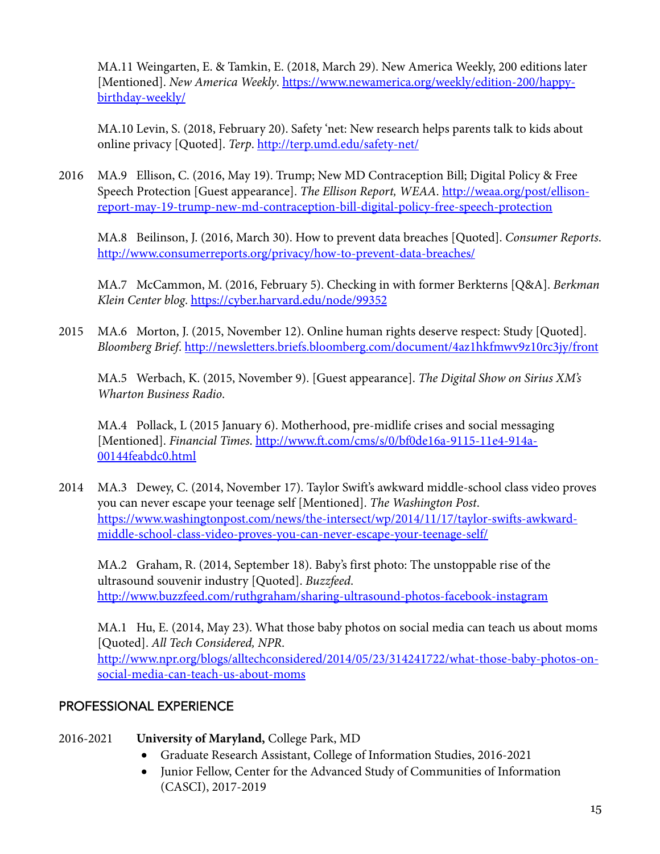MA.11 Weingarten, E. & Tamkin, E. (2018, March 29). New America Weekly, 200 editions later [Mentioned]. *New America Weekly*. https://www.newamerica.org/weekly/edition-200/happybirthday-weekly/

MA.10 Levin, S. (2018, February 20). Safety 'net: New research helps parents talk to kids about online privacy [Quoted]. *Terp*. http://terp.umd.edu/safety-net/

2016 MA.9 Ellison, C. (2016, May 19). Trump; New MD Contraception Bill; Digital Policy & Free Speech Protection [Guest appearance]. *The Ellison Report, WEAA*. http://weaa.org/post/ellisonreport-may-19-trump-new-md-contraception-bill-digital-policy-free-speech-protection

MA.8 Beilinson, J. (2016, March 30). How to prevent data breaches [Quoted]. *Consumer Reports*. http://www.consumerreports.org/privacy/how-to-prevent-data-breaches/

MA.7 McCammon, M. (2016, February 5). Checking in with former Berkterns [Q&A]. *Berkman Klein Center blog*. https://cyber.harvard.edu/node/99352

2015 MA.6 Morton, J. (2015, November 12). Online human rights deserve respect: Study [Quoted]. *Bloomberg Brief*. http://newsletters.briefs.bloomberg.com/document/4az1hkfmwv9z10rc3jy/front

MA.5 Werbach, K. (2015, November 9). [Guest appearance]. *The Digital Show on Sirius XM's Wharton Business Radio*.

MA.4 Pollack, L (2015 January 6). Motherhood, pre-midlife crises and social messaging [Mentioned]. *Financial Times*. http://www.ft.com/cms/s/0/bf0de16a-9115-11e4-914a-00144feabdc0.html

2014 MA.3 Dewey, C. (2014, November 17). Taylor Swift's awkward middle-school class video proves you can never escape your teenage self [Mentioned]. *The Washington Post*. https://www.washingtonpost.com/news/the-intersect/wp/2014/11/17/taylor-swifts-awkwardmiddle-school-class-video-proves-you-can-never-escape-your-teenage-self/

MA.2 Graham, R. (2014, September 18). Baby's first photo: The unstoppable rise of the ultrasound souvenir industry [Quoted]. *Buzzfeed*. http://www.buzzfeed.com/ruthgraham/sharing-ultrasound-photos-facebook-instagram

MA.1 Hu, E. (2014, May 23). What those baby photos on social media can teach us about moms [Quoted]. *All Tech Considered, NPR*. http://www.npr.org/blogs/alltechconsidered/2014/05/23/314241722/what-those-baby-photos-onsocial-media-can-teach-us-about-moms

# PROFESSIONAL EXPERIENCE

# 2016-2021 **University of Maryland,** College Park, MD

- Graduate Research Assistant, College of Information Studies, 2016-2021
- Junior Fellow, Center for the Advanced Study of Communities of Information (CASCI), 2017-2019